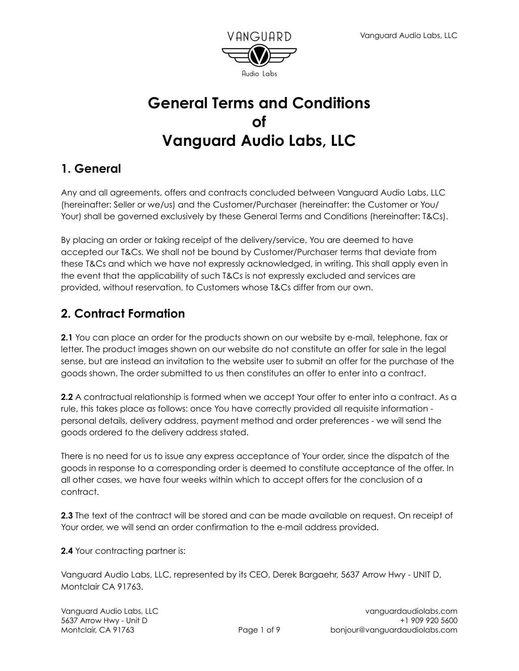

## **General Terms and Conditions of Vanguard Audio Labs, LLC**

### **1. General**

Any and all agreements, offers and contracts concluded between Vanguard Audio Labs, LLC (hereinafter: Seller or we/us) and the Customer/Purchaser (hereinafter: the Customer or You/ Your) shall be governed exclusively by these General Terms and Conditions (hereinafter: T&Cs).

By placing an order or taking receipt of the delivery/service, You are deemed to have accepted our T&Cs. We shall not be bound by Customer/Purchaser terms that deviate from these T&Cs and which we have not expressly acknowledged, in writing. This shall apply even in the event that the applicability of such T&Cs is not expressly excluded and services are provided, without reservation, to Customers whose T&Cs differ from our own.

### **2. Contract Formation**

**2.1** You can place an order for the products shown on our website by e-mail, telephone, fax or letter. The product images shown on our website do not constitute an offer for sale in the legal sense, but are instead an invitation to the website user to submit an offer for the purchase of the goods shown. The order submitted to us then constitutes an offer to enter into a contract.

**2.2** A contractual relationship is formed when we accept Your offer to enter into a contract. As a rule, this takes place as follows: once You have correctly provided all requisite information personal details, delivery address, payment method and order preferences - we will send the goods ordered to the delivery address stated.

There is no need for us to issue any express acceptance of Your order, since the dispatch of the goods in response to a corresponding order is deemed to constitute acceptance of the offer. In all other cases, we have four weeks within which to accept offers for the conclusion of a contract.

**2.3** The text of the contract will be stored and can be made available on request. On receipt of Your order, we will send an order confirmation to the e-mail address provided.

**2.4** Your contracting partner is:

Vanguard Audio Labs, LLC, represented by its CEO, Derek Bargaehr, 5637 Arrow Hwy - UNIT D, Montclair CA 91763.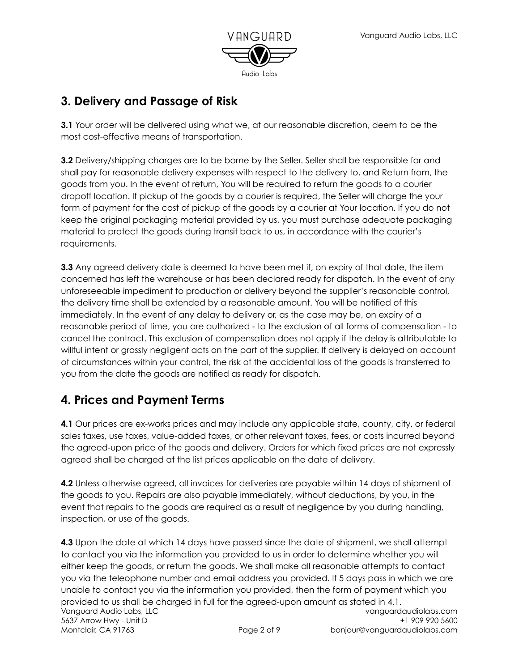

## **3. Delivery and Passage of Risk**

**3.1** Your order will be delivered using what we, at our reasonable discretion, deem to be the most cost-effective means of transportation.

**3.2** Delivery/shipping charges are to be borne by the Seller. Seller shall be responsible for and shall pay for reasonable delivery expenses with respect to the delivery to, and Return from, the goods from you. In the event of return, You will be required to return the goods to a courier dropoff location. If pickup of the goods by a courier is required, the Seller will charge the your form of payment for the cost of pickup of the goods by a courier at Your location. If you do not keep the original packaging material provided by us, you must purchase adequate packaging material to protect the goods during transit back to us, in accordance with the courier's requirements.

**3.3** Any agreed delivery date is deemed to have been met if, on expiry of that date, the item concerned has left the warehouse or has been declared ready for dispatch. In the event of any unforeseeable impediment to production or delivery beyond the supplier's reasonable control, the delivery time shall be extended by a reasonable amount. You will be notified of this immediately. In the event of any delay to delivery or, as the case may be, on expiry of a reasonable period of time, you are authorized - to the exclusion of all forms of compensation - to cancel the contract. This exclusion of compensation does not apply if the delay is attributable to willful intent or grossly negligent acts on the part of the supplier. If delivery is delayed on account of circumstances within your control, the risk of the accidental loss of the goods is transferred to you from the date the goods are notified as ready for dispatch.

### **4. Prices and Payment Terms**

**4.1** Our prices are ex-works prices and may include any applicable state, county, city, or federal sales taxes, use taxes, value-added taxes, or other relevant taxes, fees, or costs incurred beyond the agreed-upon price of the goods and delivery. Orders for which fixed prices are not expressly agreed shall be charged at the list prices applicable on the date of delivery.

**4.2** Unless otherwise agreed, all invoices for deliveries are payable within 14 days of shipment of the goods to you. Repairs are also payable immediately, without deductions, by you, in the event that repairs to the goods are required as a result of negligence by you during handling, inspection, or use of the goods.

**4.3** Upon the date at which 14 days have passed since the date of shipment, we shall attempt to contact you via the information you provided to us in order to determine whether you will either keep the goods, or return the goods. We shall make all reasonable attempts to contact you via the teleophone number and email address you provided. If 5 days pass in which we are unable to contact you via the information you provided, then the form of payment which you provided to us shall be charged in full for the agreed-upon amount as stated in 4.1. Vanguard Audio Labs, LLC 5637 Arrow Hwy - Unit D Montclair, CA 91763 Page 2 of 9 vanguardaudiolabs.com +1 909 920 5600 bonjour@vanguardaudiolabs.com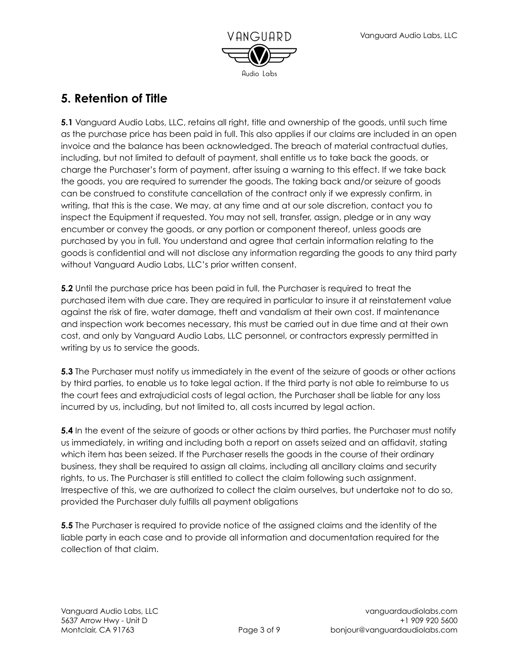

## **5. Retention of Title**

**5.1** Vanguard Audio Labs, LLC, retains all right, title and ownership of the goods, until such time as the purchase price has been paid in full. This also applies if our claims are included in an open invoice and the balance has been acknowledged. The breach of material contractual duties, including, but not limited to default of payment, shall entitle us to take back the goods, or charge the Purchaser's form of payment, after issuing a warning to this effect. If we take back the goods, you are required to surrender the goods. The taking back and/or seizure of goods can be construed to constitute cancellation of the contract only if we expressly confirm, in writing, that this is the case. We may, at any time and at our sole discretion, contact you to inspect the Equipment if requested. You may not sell, transfer, assign, pledge or in any way encumber or convey the goods, or any portion or component thereof, unless goods are purchased by you in full. You understand and agree that certain information relating to the goods is confidential and will not disclose any information regarding the goods to any third party without Vanguard Audio Labs, LLC's prior written consent.

**5.2** Until the purchase price has been paid in full, the Purchaser is required to treat the purchased item with due care. They are required in particular to insure it at reinstatement value against the risk of fire, water damage, theft and vandalism at their own cost. If maintenance and inspection work becomes necessary, this must be carried out in due time and at their own cost, and only by Vanguard Audio Labs, LLC personnel, or contractors expressly permitted in writing by us to service the goods.

**5.3** The Purchaser must notify us immediately in the event of the seizure of goods or other actions by third parties, to enable us to take legal action. If the third party is not able to reimburse to us the court fees and extrajudicial costs of legal action, the Purchaser shall be liable for any loss incurred by us, including, but not limited to, all costs incurred by legal action.

**5.4** In the event of the seizure of goods or other actions by third parties, the Purchaser must notify us immediately, in writing and including both a report on assets seized and an affidavit, stating which item has been seized. If the Purchaser resells the goods in the course of their ordinary business, they shall be required to assign all claims, including all ancillary claims and security rights, to us. The Purchaser is still entitled to collect the claim following such assignment. Irrespective of this, we are authorized to collect the claim ourselves, but undertake not to do so, provided the Purchaser duly fulfills all payment obligations

**5.5** The Purchaser is required to provide notice of the assigned claims and the identity of the liable party in each case and to provide all information and documentation required for the collection of that claim.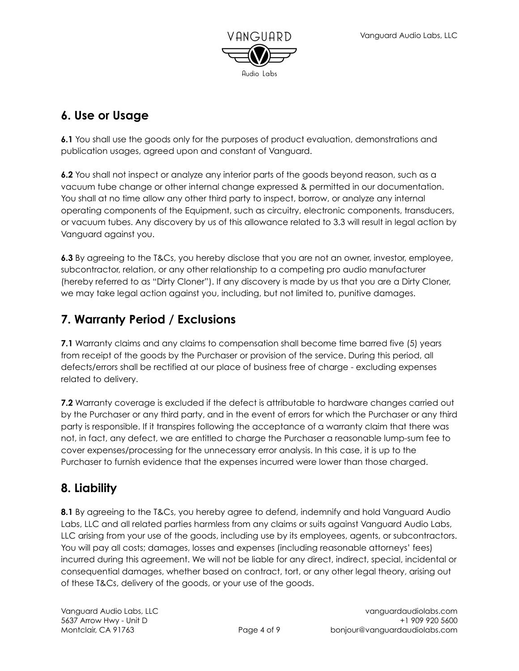

## **6. Use or Usage**

**6.1** You shall use the goods only for the purposes of product evaluation, demonstrations and publication usages, agreed upon and constant of Vanguard.

**6.2** You shall not inspect or analyze any interior parts of the goods beyond reason, such as a vacuum tube change or other internal change expressed & permitted in our documentation. You shall at no time allow any other third party to inspect, borrow, or analyze any internal operating components of the Equipment, such as circuitry, electronic components, transducers, or vacuum tubes. Any discovery by us of this allowance related to 3.3 will result in legal action by Vanguard against you.

**6.3** By agreeing to the T&Cs, you hereby disclose that you are not an owner, investor, employee, subcontractor, relation, or any other relationship to a competing pro audio manufacturer (hereby referred to as "Dirty Cloner"). If any discovery is made by us that you are a Dirty Cloner, we may take legal action against you, including, but not limited to, punitive damages.

## **7. Warranty Period / Exclusions**

**7.1** Warranty claims and any claims to compensation shall become time barred five (5) years from receipt of the goods by the Purchaser or provision of the service. During this period, all defects/errors shall be rectified at our place of business free of charge - excluding expenses related to delivery.

**7.2** Warranty coverage is excluded if the defect is attributable to hardware changes carried out by the Purchaser or any third party, and in the event of errors for which the Purchaser or any third party is responsible. If it transpires following the acceptance of a warranty claim that there was not, in fact, any defect, we are entitled to charge the Purchaser a reasonable lump-sum fee to cover expenses/processing for the unnecessary error analysis. In this case, it is up to the Purchaser to furnish evidence that the expenses incurred were lower than those charged.

### **8. Liability**

**8.1** By agreeing to the T&Cs, you hereby agree to defend, indemnify and hold Vanguard Audio Labs, LLC and all related parties harmless from any claims or suits against Vanguard Audio Labs, LLC arising from your use of the goods, including use by its employees, agents, or subcontractors. You will pay all costs; damages, losses and expenses (including reasonable attorneys' fees) incurred during this agreement. We will not be liable for any direct, indirect, special, incidental or consequential damages, whether based on contract, tort, or any other legal theory, arising out of these T&Cs, delivery of the goods, or your use of the goods.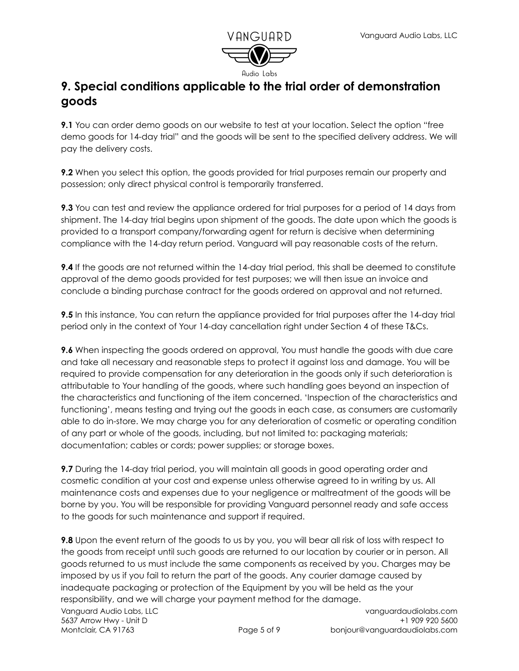

#### **9. Special conditions applicable to the trial order of demonstration goods**

**9.1** You can order demo goods on our website to test at your location. Select the option "free demo goods for 14-day trial" and the goods will be sent to the specified delivery address. We will pay the delivery costs.

**9.2** When you select this option, the goods provided for trial purposes remain our property and possession; only direct physical control is temporarily transferred.

**9.3** You can test and review the appliance ordered for trial purposes for a period of 14 days from shipment. The 14-day trial begins upon shipment of the goods. The date upon which the goods is provided to a transport company/forwarding agent for return is decisive when determining compliance with the 14-day return period. Vanguard will pay reasonable costs of the return.

**9.4** If the goods are not returned within the 14-day trial period, this shall be deemed to constitute approval of the demo goods provided for test purposes; we will then issue an invoice and conclude a binding purchase contract for the goods ordered on approval and not returned.

**9.5** In this instance, You can return the appliance provided for trial purposes after the 14-day trial period only in the context of Your 14-day cancellation right under Section 4 of these T&Cs.

**9.6** When inspecting the goods ordered on approval, You must handle the goods with due care and take all necessary and reasonable steps to protect it against loss and damage. You will be required to provide compensation for any deterioration in the goods only if such deterioration is attributable to Your handling of the goods, where such handling goes beyond an inspection of the characteristics and functioning of the item concerned. 'Inspection of the characteristics and functioning', means testing and trying out the goods in each case, as consumers are customarily able to do in-store. We may charge you for any deterioration of cosmetic or operating condition of any part or whole of the goods, including, but not limited to: packaging materials; documentation; cables or cords; power supplies; or storage boxes.

**9.7** During the 14-day trial period, you will maintain all goods in good operating order and cosmetic condition at your cost and expense unless otherwise agreed to in writing by us. All maintenance costs and expenses due to your negligence or maltreatment of the goods will be borne by you. You will be responsible for providing Vanguard personnel ready and safe access to the goods for such maintenance and support if required.

**9.8** Upon the event return of the goods to us by you, you will bear all risk of loss with respect to the goods from receipt until such goods are returned to our location by courier or in person. All goods returned to us must include the same components as received by you. Charges may be imposed by us if you fail to return the part of the goods. Any courier damage caused by inadequate packaging or protection of the Equipment by you will be held as the your responsibility, and we will charge your payment method for the damage.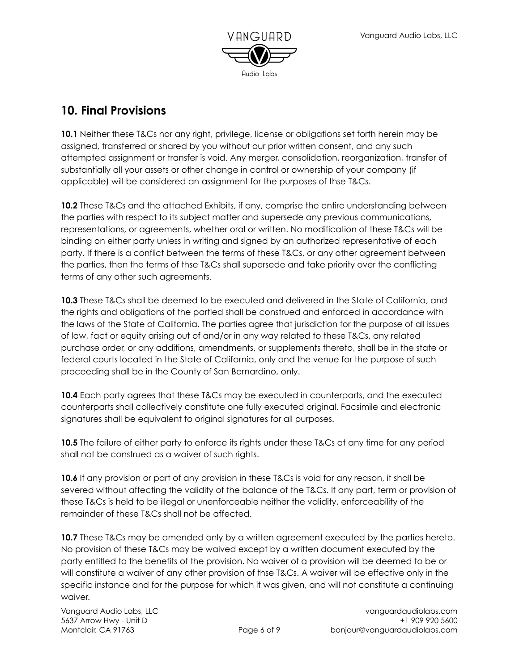

#### **10. Final Provisions**

**10.1** Neither these T&Cs nor any right, privilege, license or obligations set forth herein may be assigned, transferred or shared by you without our prior written consent, and any such attempted assignment or transfer is void. Any merger, consolidation, reorganization, transfer of substantially all your assets or other change in control or ownership of your company (if applicable) will be considered an assignment for the purposes of thse T&Cs.

**10.2** These T&Cs and the attached Exhibits, if any, comprise the entire understanding between the parties with respect to its subject matter and supersede any previous communications, representations, or agreements, whether oral or written. No modification of these T&Cs will be binding on either party unless in writing and signed by an authorized representative of each party. If there is a conflict between the terms of these T&Cs, or any other agreement between the parties, then the terms of thse T&Cs shall supersede and take priority over the conflicting terms of any other such agreements.

**10.3** These T&Cs shall be deemed to be executed and delivered in the State of California, and the rights and obligations of the partied shall be construed and enforced in accordance with the laws of the State of California. The parties agree that jurisdiction for the purpose of all issues of law, fact or equity arising out of and/or in any way related to these T&Cs, any related purchase order, or any additions, amendments, or supplements thereto, shall be in the state or federal courts located in the State of California, only and the venue for the purpose of such proceeding shall be in the County of San Bernardino, only.

**10.4** Each party agrees that these T&Cs may be executed in counterparts, and the executed counterparts shall collectively constitute one fully executed original. Facsimile and electronic signatures shall be equivalent to original signatures for all purposes.

**10.5** The failure of either party to enforce its rights under these T&Cs at any time for any period shall not be construed as a waiver of such rights.

**10.6** If any provision or part of any provision in these T&Cs is void for any reason, it shall be severed without affecting the validity of the balance of the T&Cs. If any part, term or provision of these T&Cs is held to be illegal or unenforceable neither the validity, enforceability of the remainder of these T&Cs shall not be affected.

**10.7** These T&Cs may be amended only by a written agreement executed by the parties hereto. No provision of these T&Cs may be waived except by a written document executed by the party entitled to the benefits of the provision. No waiver of a provision will be deemed to be or will constitute a waiver of any other provision of thse T&Cs. A waiver will be effective only in the specific instance and for the purpose for which it was given, and will not constitute a continuing waiver.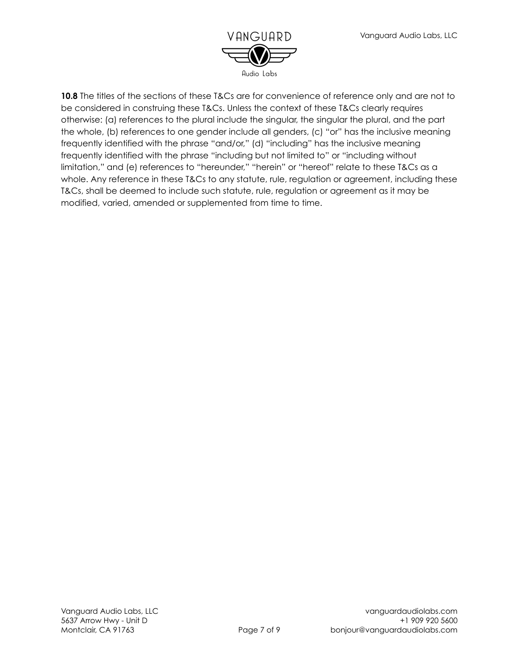

**10.8** The titles of the sections of these T&Cs are for convenience of reference only and are not to be considered in construing these T&Cs. Unless the context of these T&Cs clearly requires otherwise: (a) references to the plural include the singular, the singular the plural, and the part the whole, (b) references to one gender include all genders, (c) "or" has the inclusive meaning frequently identified with the phrase "and/or," (d) "including" has the inclusive meaning frequently identified with the phrase "including but not limited to" or "including without limitation," and (e) references to "hereunder," "herein" or "hereof" relate to these T&Cs as a whole. Any reference in these T&Cs to any statute, rule, regulation or agreement, including these T&Cs, shall be deemed to include such statute, rule, regulation or agreement as it may be modified, varied, amended or supplemented from time to time.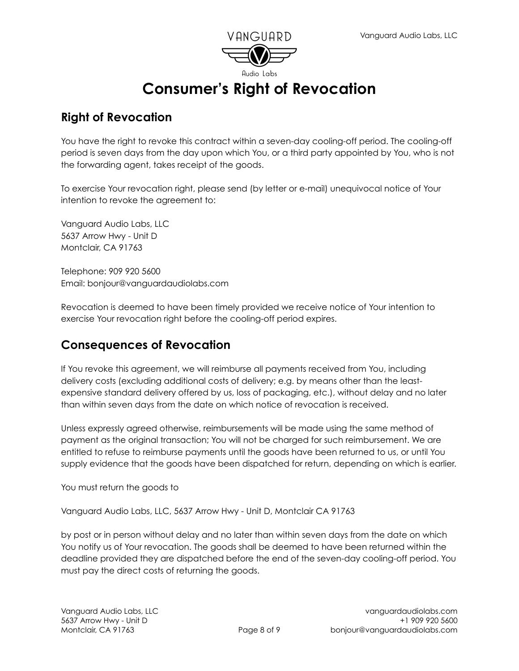

# **Consumer's Right of Revocation**

#### **Right of Revocation**

You have the right to revoke this contract within a seven-day cooling-off period. The cooling-off period is seven days from the day upon which You, or a third party appointed by You, who is not the forwarding agent, takes receipt of the goods.

To exercise Your revocation right, please send (by letter or e-mail) unequivocal notice of Your intention to revoke the agreement to:

Vanguard Audio Labs, LLC 5637 Arrow Hwy - Unit D Montclair, CA 91763

Telephone: 909 920 5600 Email: bonjour@vanguardaudiolabs.com

Revocation is deemed to have been timely provided we receive notice of Your intention to exercise Your revocation right before the cooling-off period expires.

#### **Consequences of Revocation**

If You revoke this agreement, we will reimburse all payments received from You, including delivery costs (excluding additional costs of delivery; e.g. by means other than the leastexpensive standard delivery offered by us, loss of packaging, etc.), without delay and no later than within seven days from the date on which notice of revocation is received.

Unless expressly agreed otherwise, reimbursements will be made using the same method of payment as the original transaction; You will not be charged for such reimbursement. We are entitled to refuse to reimburse payments until the goods have been returned to us, or until You supply evidence that the goods have been dispatched for return, depending on which is earlier.

You must return the goods to

Vanguard Audio Labs, LLC, 5637 Arrow Hwy - Unit D, Montclair CA 91763

by post or in person without delay and no later than within seven days from the date on which You notify us of Your revocation. The goods shall be deemed to have been returned within the deadline provided they are dispatched before the end of the seven-day cooling-off period. You must pay the direct costs of returning the goods.